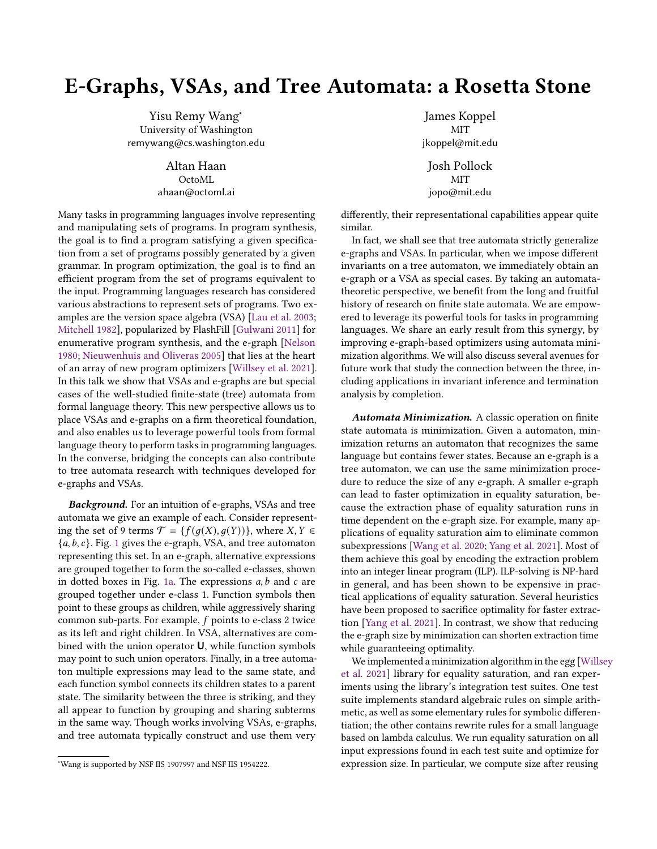## E-Graphs, VSAs, and Tree Automata: a Rosetta Stone

Yisu Remy Wang<sup>∗</sup> University of Washington remywang@cs.washington.edu

> Altan Haan OctoML ahaan@octoml.ai

Many tasks in programming languages involve representing and manipulating sets of programs. In program synthesis, the goal is to find a program satisfying a given specification from a set of programs possibly generated by a given grammar. In program optimization, the goal is to find an efficient program from the set of programs equivalent to the input. Programming languages research has considered various abstractions to represent sets of programs. Two examples are the version space algebra (VSA) [\[Lau et al.](#page-2-0) [2003;](#page-2-0) [Mitchell](#page-2-1) [1982\]](#page-2-1), popularized by FlashFill [\[Gulwani](#page-2-2) [2011\]](#page-2-2) for enumerative program synthesis, and the e-graph [\[Nelson](#page-2-3) [1980;](#page-2-3) [Nieuwenhuis and Oliveras](#page-2-4) [2005\]](#page-2-4) that lies at the heart of an array of new program optimizers [\[Willsey et al.](#page-2-5) [2021\]](#page-2-5). In this talk we show that VSAs and e-graphs are but special cases of the well-studied finite-state (tree) automata from formal language theory. This new perspective allows us to place VSAs and e-graphs on a firm theoretical foundation, and also enables us to leverage powerful tools from formal language theory to perform tasks in programming languages. In the converse, bridging the concepts can also contribute to tree automata research with techniques developed for e-graphs and VSAs.

Background. For an intuition of e-graphs, VSAs and tree automata we give an example of each. Consider representing the set of 9 terms  $\mathcal{T} = \{f(q(X), q(Y))\}$ , where  $X, Y \in$  ${a, b, c}$ . Fig. [1](#page-1-0) gives the e-graph, VSA, and tree automaton representing this set. In an e-graph, alternative expressions are grouped together to form the so-called e-classes, shown in dotted boxes in Fig. [1a.](#page-1-0) The expressions  $a, b$  and  $c$  are grouped together under e-class 1. Function symbols then point to these groups as children, while aggressively sharing common sub-parts. For example,  $f$  points to e-class 2 twice as its left and right children. In VSA, alternatives are combined with the union operator U, while function symbols may point to such union operators. Finally, in a tree automaton multiple expressions may lead to the same state, and each function symbol connects its children states to a parent state. The similarity between the three is striking, and they all appear to function by grouping and sharing subterms in the same way. Though works involving VSAs, e-graphs, and tree automata typically construct and use them very

James Koppel MIT jkoppel@mit.edu Josh Pollock

MIT jopo@mit.edu

differently, their representational capabilities appear quite similar.

In fact, we shall see that tree automata strictly generalize e-graphs and VSAs. In particular, when we impose different invariants on a tree automaton, we immediately obtain an e-graph or a VSA as special cases. By taking an automatatheoretic perspective, we benefit from the long and fruitful history of research on finite state automata. We are empowered to leverage its powerful tools for tasks in programming languages. We share an early result from this synergy, by improving e-graph-based optimizers using automata minimization algorithms. We will also discuss several avenues for future work that study the connection between the three, including applications in invariant inference and termination analysis by completion.

Automata Minimization. A classic operation on finite state automata is minimization. Given a automaton, minimization returns an automaton that recognizes the same language but contains fewer states. Because an e-graph is a tree automaton, we can use the same minimization procedure to reduce the size of any e-graph. A smaller e-graph can lead to faster optimization in equality saturation, because the extraction phase of equality saturation runs in time dependent on the e-graph size. For example, many applications of equality saturation aim to eliminate common subexpressions [\[Wang et al.](#page-2-6) [2020;](#page-2-6) [Yang et al.](#page-2-7) [2021\]](#page-2-7). Most of them achieve this goal by encoding the extraction problem into an integer linear program (ILP). ILP-solving is NP-hard in general, and has been shown to be expensive in practical applications of equality saturation. Several heuristics have been proposed to sacrifice optimality for faster extraction [\[Yang et al.](#page-2-7) [2021\]](#page-2-7). In contrast, we show that reducing the e-graph size by minimization can shorten extraction time while guaranteeing optimality.

We implemented a minimization algorithm in the egg [\[Wills](#page-2-5)ey [et al.](#page-2-5) [2021\]](#page-2-5) library for equality saturation, and ran experiments using the library's integration test suites. One test suite implements standard algebraic rules on simple arithmetic, as well as some elementary rules for symbolic differentiation; the other contains rewrite rules for a small language based on lambda calculus. We run equality saturation on all input expressions found in each test suite and optimize for expression size. In particular, we compute size after reusing

<sup>∗</sup>Wang is supported by NSF IIS 1907997 and NSF IIS 1954222.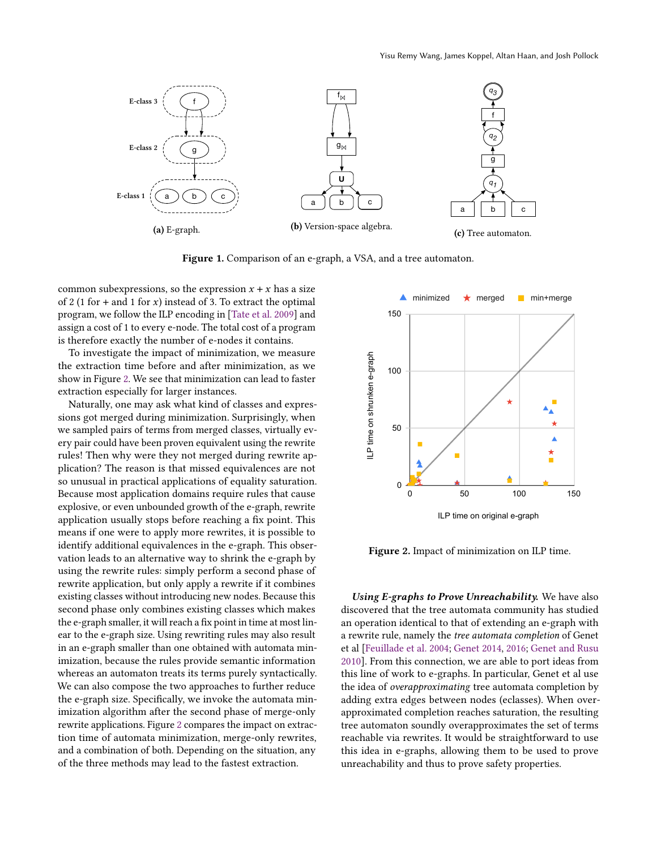<span id="page-1-0"></span>

Figure 1. Comparison of an e-graph, a VSA, and a tree automaton.

common subexpressions, so the expression  $x + x$  has a size of 2 (1 for + and 1 for x) instead of 3. To extract the optimal program, we follow the ILP encoding in [\[Tate et al.](#page-2-8) [2009\]](#page-2-8) and assign a cost of 1 to every e-node. The total cost of a program is therefore exactly the number of e-nodes it contains.

To investigate the impact of minimization, we measure the extraction time before and after minimization, as we show in Figure [2.](#page-1-1) We see that minimization can lead to faster extraction especially for larger instances.

Naturally, one may ask what kind of classes and expressions got merged during minimization. Surprisingly, when we sampled pairs of terms from merged classes, virtually every pair could have been proven equivalent using the rewrite rules! Then why were they not merged during rewrite application? The reason is that missed equivalences are not so unusual in practical applications of equality saturation. Because most application domains require rules that cause explosive, or even unbounded growth of the e-graph, rewrite application usually stops before reaching a fix point. This means if one were to apply more rewrites, it is possible to identify additional equivalences in the e-graph. This observation leads to an alternative way to shrink the e-graph by using the rewrite rules: simply perform a second phase of rewrite application, but only apply a rewrite if it combines existing classes without introducing new nodes. Because this second phase only combines existing classes which makes the e-graph smaller, it will reach a fix point in time at most linear to the e-graph size. Using rewriting rules may also result in an e-graph smaller than one obtained with automata minimization, because the rules provide semantic information whereas an automaton treats its terms purely syntactically. We can also compose the two approaches to further reduce the e-graph size. Specifically, we invoke the automata minimization algorithm after the second phase of merge-only rewrite applications. Figure [2](#page-1-1) compares the impact on extraction time of automata minimization, merge-only rewrites, and a combination of both. Depending on the situation, any of the three methods may lead to the fastest extraction.

<span id="page-1-1"></span>

Figure 2. Impact of minimization on ILP time.

Using E-graphs to Prove Unreachability. We have also discovered that the tree automata community has studied an operation identical to that of extending an e-graph with a rewrite rule, namely the tree automata completion of Genet et al [\[Feuillade et al.](#page-2-9) [2004;](#page-2-9) [Genet](#page-2-10) [2014,](#page-2-10) [2016;](#page-2-11) [Genet and Rusu](#page-2-12) [2010\]](#page-2-12). From this connection, we are able to port ideas from this line of work to e-graphs. In particular, Genet et al use the idea of overapproximating tree automata completion by adding extra edges between nodes (eclasses). When overapproximated completion reaches saturation, the resulting tree automaton soundly overapproximates the set of terms reachable via rewrites. It would be straightforward to use this idea in e-graphs, allowing them to be used to prove unreachability and thus to prove safety properties.